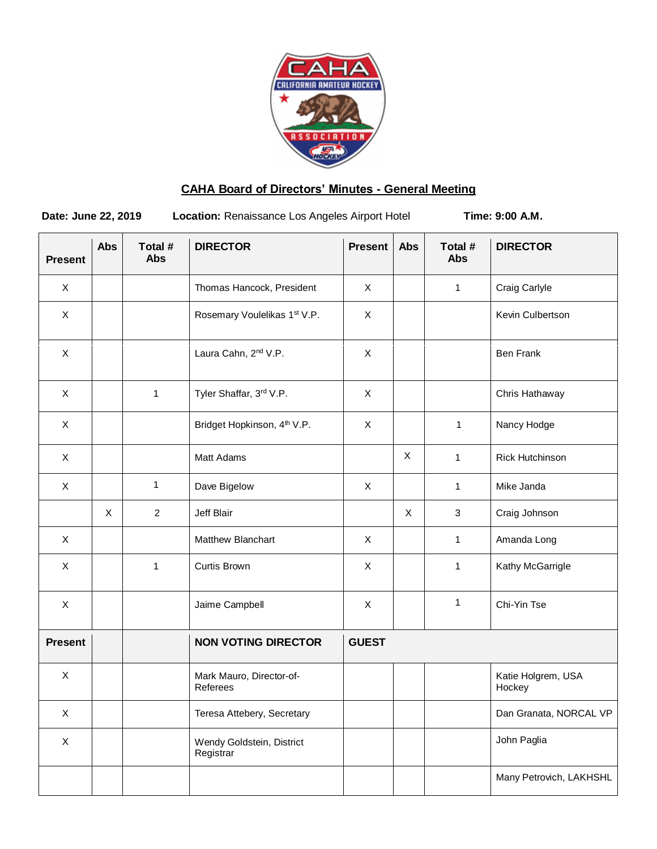

# **CAHA Board of Directors' Minutes - General Meeting**

**Date: June 22, 2019 Location: Renaissance Los Angeles Airport Hotel Time: 9:00 A.M.** 

| <b>Present</b> | <b>Abs</b> | Total #<br><b>Abs</b> | <b>DIRECTOR</b>                         | <b>Present</b> | Abs | Total #<br><b>Abs</b> | <b>DIRECTOR</b>              |
|----------------|------------|-----------------------|-----------------------------------------|----------------|-----|-----------------------|------------------------------|
| X              |            |                       | Thomas Hancock, President               | X              |     | $\mathbf{1}$          | Craig Carlyle                |
| $\pmb{\times}$ |            |                       | Rosemary Voulelikas 1st V.P.            | X              |     |                       | Kevin Culbertson             |
| $\pmb{\times}$ |            |                       | Laura Cahn, 2nd V.P.                    | $\pmb{\times}$ |     |                       | <b>Ben Frank</b>             |
| X              |            | $\mathbf{1}$          | Tyler Shaffar, 3rd V.P.                 | X              |     |                       | Chris Hathaway               |
| X              |            |                       | Bridget Hopkinson, 4 <sup>th</sup> V.P. | X              |     | $\mathbf{1}$          | Nancy Hodge                  |
| X              |            |                       | Matt Adams                              |                | X   | 1                     | Rick Hutchinson              |
| X              |            | 1                     | Dave Bigelow                            | X              |     | 1                     | Mike Janda                   |
|                | X          | $\overline{2}$        | Jeff Blair                              |                | X   | 3                     | Craig Johnson                |
| $\pmb{\times}$ |            |                       | Matthew Blanchart                       | X              |     | 1                     | Amanda Long                  |
| $\pmb{\times}$ |            | $\mathbf{1}$          | Curtis Brown                            | X              |     | 1                     | Kathy McGarrigle             |
| $\pmb{\times}$ |            |                       | Jaime Campbell                          | X              |     | 1                     | Chi-Yin Tse                  |
| <b>Present</b> |            |                       | <b>NON VOTING DIRECTOR</b>              | <b>GUEST</b>   |     |                       |                              |
| X              |            |                       | Mark Mauro, Director-of-<br>Referees    |                |     |                       | Katie Holgrem, USA<br>Hockey |
| $\mathsf X$    |            |                       | Teresa Attebery, Secretary              |                |     |                       | Dan Granata, NORCAL VP       |
| X              |            |                       | Wendy Goldstein, District<br>Registrar  |                |     |                       | John Paglia                  |
|                |            |                       |                                         |                |     |                       | Many Petrovich, LAKHSHL      |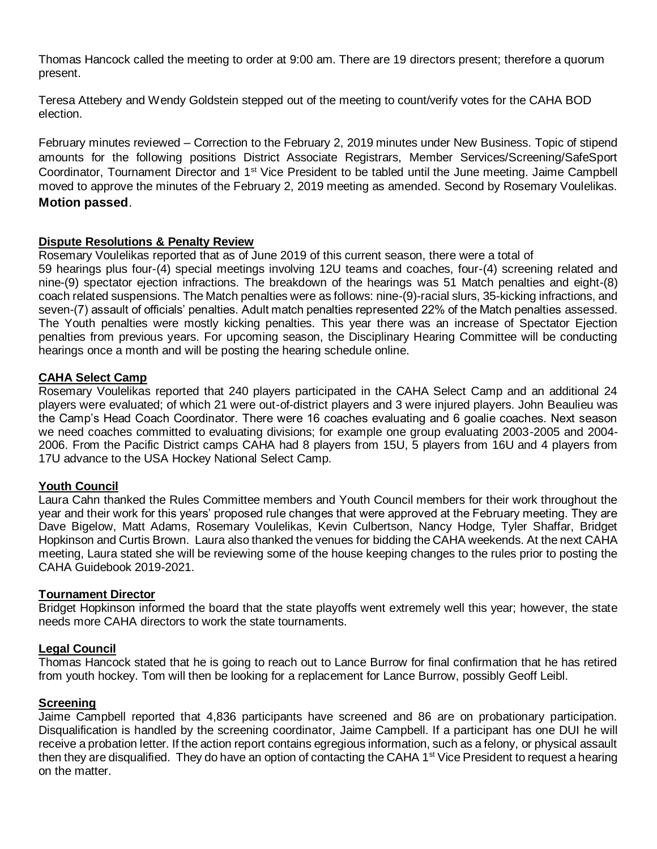Thomas Hancock called the meeting to order at 9:00 am. There are 19 directors present; therefore a quorum present.

Teresa Attebery and Wendy Goldstein stepped out of the meeting to count/verify votes for the CAHA BOD election.

February minutes reviewed – Correction to the February 2, 2019 minutes under New Business. Topic of stipend amounts for the following positions District Associate Registrars, Member Services/Screening/SafeSport Coordinator, Tournament Director and 1<sup>st</sup> Vice President to be tabled until the June meeting. Jaime Campbell moved to approve the minutes of the February 2, 2019 meeting as amended. Second by Rosemary Voulelikas. **Motion passed**.

### **Dispute Resolutions & Penalty Review**

Rosemary Voulelikas reported that as of June 2019 of this current season, there were a total of 59 hearings plus four-(4) special meetings involving 12U teams and coaches, four-(4) screening related and nine-(9) spectator ejection infractions. The breakdown of the hearings was 51 Match penalties and eight-(8) coach related suspensions. The Match penalties were as follows: nine-(9)-racial slurs, 35-kicking infractions, and seven-(7) assault of officials' penalties. Adult match penalties represented 22% of the Match penalties assessed. The Youth penalties were mostly kicking penalties. This year there was an increase of Spectator Ejection penalties from previous years. For upcoming season, the Disciplinary Hearing Committee will be conducting hearings once a month and will be posting the hearing schedule online.

### **CAHA Select Camp**

Rosemary Voulelikas reported that 240 players participated in the CAHA Select Camp and an additional 24 players were evaluated; of which 21 were out-of-district players and 3 were injured players. John Beaulieu was the Camp's Head Coach Coordinator. There were 16 coaches evaluating and 6 goalie coaches. Next season we need coaches committed to evaluating divisions; for example one group evaluating 2003-2005 and 2004- 2006. From the Pacific District camps CAHA had 8 players from 15U, 5 players from 16U and 4 players from 17U advance to the USA Hockey National Select Camp.

## **Youth Council**

Laura Cahn thanked the Rules Committee members and Youth Council members for their work throughout the year and their work for this years' proposed rule changes that were approved at the February meeting. They are Dave Bigelow, Matt Adams, Rosemary Voulelikas, Kevin Culbertson, Nancy Hodge, Tyler Shaffar, Bridget Hopkinson and Curtis Brown. Laura also thanked the venues for bidding the CAHA weekends. At the next CAHA meeting, Laura stated she will be reviewing some of the house keeping changes to the rules prior to posting the CAHA Guidebook 2019-2021.

### **Tournament Director**

Bridget Hopkinson informed the board that the state playoffs went extremely well this year; however, the state needs more CAHA directors to work the state tournaments.

## **Legal Council**

Thomas Hancock stated that he is going to reach out to Lance Burrow for final confirmation that he has retired from youth hockey. Tom will then be looking for a replacement for Lance Burrow, possibly Geoff Leibl.

### **Screening**

Jaime Campbell reported that 4,836 participants have screened and 86 are on probationary participation. Disqualification is handled by the screening coordinator, Jaime Campbell. If a participant has one DUI he will receive a probation letter. If the action report contains egregious information, such as a felony, or physical assault then they are disqualified. They do have an option of contacting the CAHA  $1<sup>st</sup>$  Vice President to request a hearing on the matter.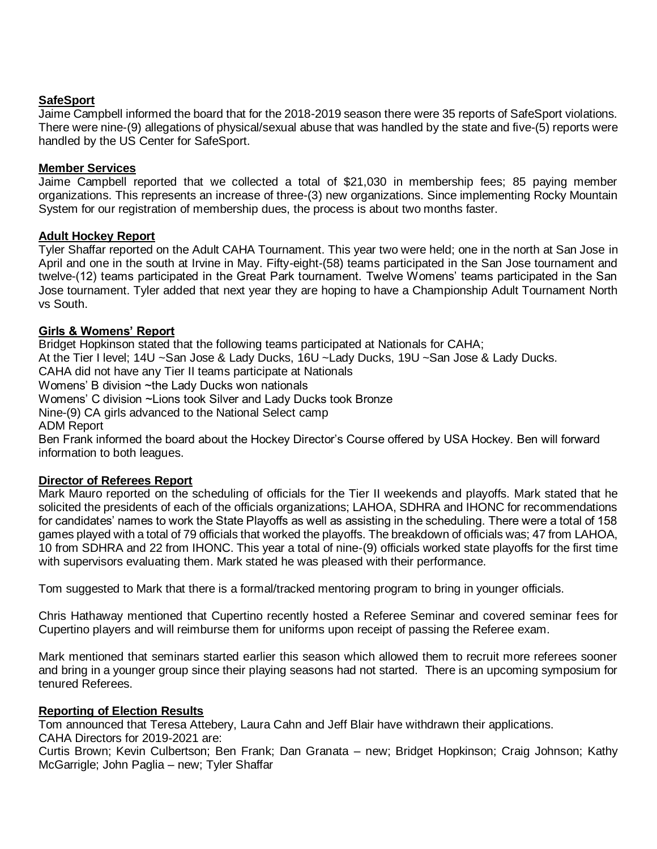### **SafeSport**

Jaime Campbell informed the board that for the 2018-2019 season there were 35 reports of SafeSport violations. There were nine-(9) allegations of physical/sexual abuse that was handled by the state and five-(5) reports were handled by the US Center for SafeSport.

### **Member Services**

Jaime Campbell reported that we collected a total of \$21,030 in membership fees; 85 paying member organizations. This represents an increase of three-(3) new organizations. Since implementing Rocky Mountain System for our registration of membership dues, the process is about two months faster.

### **Adult Hockey Report**

Tyler Shaffar reported on the Adult CAHA Tournament. This year two were held; one in the north at San Jose in April and one in the south at Irvine in May. Fifty-eight-(58) teams participated in the San Jose tournament and twelve-(12) teams participated in the Great Park tournament. Twelve Womens' teams participated in the San Jose tournament. Tyler added that next year they are hoping to have a Championship Adult Tournament North vs South.

### **Girls & Womens' Report**

Bridget Hopkinson stated that the following teams participated at Nationals for CAHA;

At the Tier I level; 14U ~San Jose & Lady Ducks, 16U ~Lady Ducks, 19U ~San Jose & Lady Ducks.

CAHA did not have any Tier II teams participate at Nationals

Womens' B division ~the Lady Ducks won nationals

Womens' C division ~Lions took Silver and Lady Ducks took Bronze

Nine-(9) CA girls advanced to the National Select camp

ADM Report

Ben Frank informed the board about the Hockey Director's Course offered by USA Hockey. Ben will forward information to both leagues.

### **Director of Referees Report**

Mark Mauro reported on the scheduling of officials for the Tier II weekends and playoffs. Mark stated that he solicited the presidents of each of the officials organizations; LAHOA, SDHRA and IHONC for recommendations for candidates' names to work the State Playoffs as well as assisting in the scheduling. There were a total of 158 games played with a total of 79 officials that worked the playoffs. The breakdown of officials was; 47 from LAHOA, 10 from SDHRA and 22 from IHONC. This year a total of nine-(9) officials worked state playoffs for the first time with supervisors evaluating them. Mark stated he was pleased with their performance.

Tom suggested to Mark that there is a formal/tracked mentoring program to bring in younger officials.

Chris Hathaway mentioned that Cupertino recently hosted a Referee Seminar and covered seminar fees for Cupertino players and will reimburse them for uniforms upon receipt of passing the Referee exam.

Mark mentioned that seminars started earlier this season which allowed them to recruit more referees sooner and bring in a younger group since their playing seasons had not started. There is an upcoming symposium for tenured Referees.

### **Reporting of Election Results**

Tom announced that Teresa Attebery, Laura Cahn and Jeff Blair have withdrawn their applications. CAHA Directors for 2019-2021 are:

Curtis Brown; Kevin Culbertson; Ben Frank; Dan Granata – new; Bridget Hopkinson; Craig Johnson; Kathy McGarrigle; John Paglia – new; Tyler Shaffar